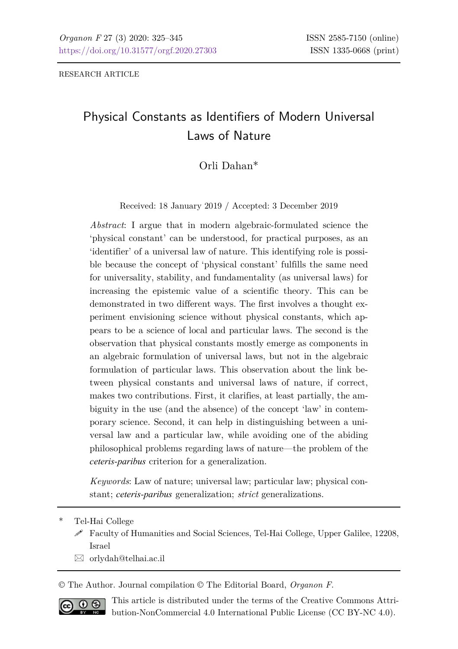RESEARCH ARTICLE

# Physical Constants as Identifiers of Modern Universal Laws of Nature

## Orli Dahan\*

Received: 18 January 2019 / Accepted: 3 December 2019

*Abstract*: I argue that in modern algebraic-formulated science the 'physical constant' can be understood, for practical purposes, as an 'identifier' of a universal law of nature. This identifying role is possible because the concept of 'physical constant' fulfills the same need for universality, stability, and fundamentality (as universal laws) for increasing the epistemic value of a scientific theory. This can be demonstrated in two different ways. The first involves a thought experiment envisioning science without physical constants, which appears to be a science of local and particular laws. The second is the observation that physical constants mostly emerge as components in an algebraic formulation of universal laws, but not in the algebraic formulation of particular laws. This observation about the link between physical constants and universal laws of nature, if correct, makes two contributions. First, it clarifies, at least partially, the ambiguity in the use (and the absence) of the concept 'law' in contemporary science. Second, it can help in distinguishing between a universal law and a particular law, while avoiding one of the abiding philosophical problems regarding laws of nature—the problem of the *ceteris-paribus* criterion for a generalization.

*Keywords*: Law of nature; universal law; particular law; physical constant; *ceteris-paribus* generalization; *strict* generalizations.

- Tel-Hai College
	- Faculty of Humanities and Social Sciences, Tel-Hai College, Upper Galilee, 12208, Israel
	- orlydah@telhai.ac.il

© The Author. Journal compilation © The Editorial Board, *Organon F*.



This article is distributed under the terms of the Creative Commons Attribution-NonCommercial 4.0 International Public License (CC BY-NC 4.0).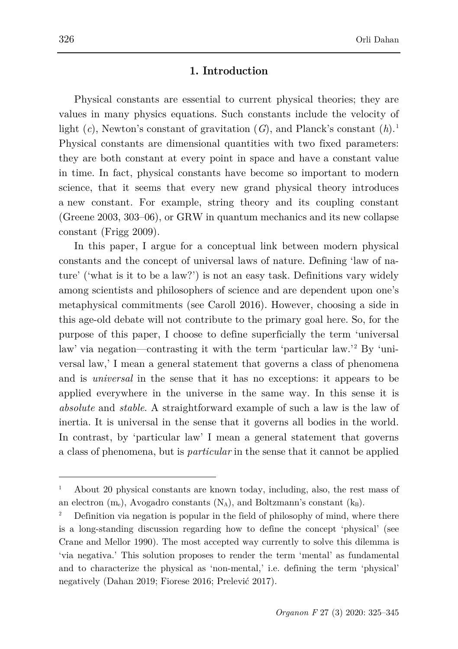#### **1. Introduction**

Physical constants are essential to current physical theories; they are values in many physics equations. Such constants include the velocity of light (*c*), Newton's constant of gravitation (*G*), and Planck's constant (*h*). [1](#page-1-0) Physical constants are dimensional quantities with two fixed parameters: they are both constant at every point in space and have a constant value in time. In fact, physical constants have become so important to modern science, that it seems that every new grand physical theory introduces a new constant. For example, string theory and its coupling constant (Greene 2003, 303–06), or GRW in quantum mechanics and its new collapse constant (Frigg 2009).

In this paper, I argue for a conceptual link between modern physical constants and the concept of universal laws of nature. Defining 'law of nature' ('what is it to be a law?') is not an easy task. Definitions vary widely among scientists and philosophers of science and are dependent upon one's metaphysical commitments (see Caroll 2016). However, choosing a side in this age-old debate will not contribute to the primary goal here. So, for the purpose of this paper, I choose to define superficially the term 'universal law' via negation—contrasting it with the term 'particular law.'<sup>2</sup> By 'universal law,' I mean a general statement that governs a class of phenomena and is *universal* in the sense that it has no exceptions: it appears to be applied everywhere in the universe in the same way. In this sense it is *absolute* and *stable*. A straightforward example of such a law is the law of inertia. It is universal in the sense that it governs all bodies in the world. In contrast, by 'particular law' I mean a general statement that governs a class of phenomena, but is *particular* in the sense that it cannot be applied

<span id="page-1-0"></span><sup>1</sup> About 20 physical constants are known today, including, also, the rest mass of an electron  $(m_e)$ , Avogadro constants  $(N_A)$ , and Boltzmann's constant  $(k_B)$ .

<sup>2</sup> Definition via negation is popular in the field of philosophy of mind, where there is a long-standing discussion regarding how to define the concept 'physical' (see Crane and Mellor 1990). The most accepted way currently to solve this dilemma is 'via negativa.' This solution proposes to render the term 'mental' as fundamental and to characterize the physical as 'non-mental,' i.e. defining the term 'physical' negatively (Dahan 2019; Fiorese 2016; Prelević 2017).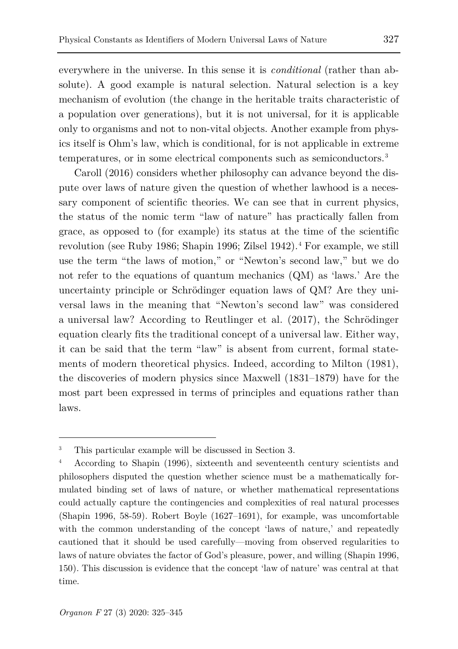everywhere in the universe. In this sense it is *conditional* (rather than absolute). A good example is natural selection. Natural selection is a key mechanism of evolution (the change in the heritable traits characteristic of a population over generations), but it is not universal, for it is applicable only to organisms and not to non-vital objects. Another example from physics itself is Ohm's law, which is conditional, for is not applicable in extreme temperatures, or in some electrical components such as semiconductors.[3](#page-2-0)

Caroll (2016) considers whether philosophy can advance beyond the dispute over laws of nature given the question of whether lawhood is a necessary component of scientific theories. We can see that in current physics, the status of the nomic term "law of nature" has practically fallen from grace, as opposed to (for example) its status at the time of the scientific revolution (see Ruby 1986; Shapin 1996; Zilsel 19[4](#page-2-1)2).<sup>4</sup> For example, we still use the term "the laws of motion," or "Newton's second law," but we do not refer to the equations of quantum mechanics (QM) as 'laws.' Are the uncertainty principle or Schrödinger equation laws of QM? Are they universal laws in the meaning that "Newton's second law" was considered a universal law? According to Reutlinger et al. (2017), the Schrödinger equation clearly fits the traditional concept of a universal law. Either way, it can be said that the term "law" is absent from current, formal statements of modern theoretical physics. Indeed, according to Milton (1981), the discoveries of modern physics since Maxwell (1831–1879) have for the most part been expressed in terms of principles and equations rather than laws.

<span id="page-2-0"></span><sup>3</sup> This particular example will be discussed in Section 3.

<span id="page-2-1"></span><sup>4</sup> According to Shapin (1996), sixteenth and seventeenth century scientists and philosophers disputed the question whether science must be a mathematically formulated binding set of laws of nature, or whether mathematical representations could actually capture the contingencies and complexities of real natural processes (Shapin 1996, 58-59). Robert Boyle (1627–1691), for example, was uncomfortable with the common understanding of the concept 'laws of nature,' and repeatedly cautioned that it should be used carefully—moving from observed regularities to laws of nature obviates the factor of God's pleasure, power, and willing (Shapin 1996, 150). This discussion is evidence that the concept 'law of nature' was central at that time.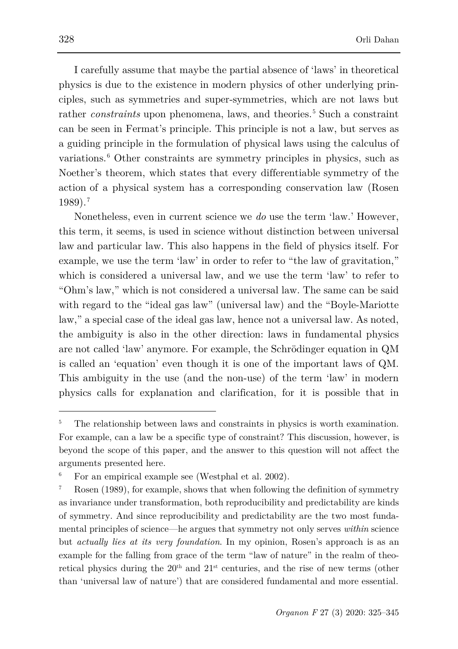I carefully assume that maybe the partial absence of 'laws' in theoretical physics is due to the existence in modern physics of other underlying principles, such as symmetries and super-symmetries, which are not laws but rather *constraints* upon phenomena, laws, and theories.<sup>[5](#page-3-0)</sup> Such a constraint can be seen in Fermat's principle. This principle is not a law, but serves as a guiding principle in the formulation of physical laws using the calculus of variations.<sup>[6](#page-3-1)</sup> Other constraints are symmetry principles in physics, such as Noether's theorem, which states that every differentiable symmetry of the action of a physical system has a corresponding conservation law (Rosen 1989).[7](#page-3-2)

Nonetheless, even in current science we *do* use the term 'law.' However, this term, it seems, is used in science without distinction between universal law and particular law. This also happens in the field of physics itself. For example, we use the term 'law' in order to refer to "the law of gravitation," which is considered a universal law, and we use the term 'law' to refer to "Ohm's law," which is not considered a universal law. The same can be said with regard to the "ideal gas law" (universal law) and the "Boyle-Mariotte law," a special case of the ideal gas law, hence not a universal law. As noted, the ambiguity is also in the other direction: laws in fundamental physics are not called 'law' anymore. For example, the Schrödinger equation in QM is called an 'equation' even though it is one of the important laws of QM. This ambiguity in the use (and the non-use) of the term 'law' in modern physics calls for explanation and clarification, for it is possible that in

<span id="page-3-0"></span><sup>5</sup> The relationship between laws and constraints in physics is worth examination. For example, can a law be a specific type of constraint? This discussion, however, is beyond the scope of this paper, and the answer to this question will not affect the arguments presented here.

<span id="page-3-1"></span>For an empirical example see (Westphal et al. 2002).

<span id="page-3-2"></span>Rosen (1989), for example, shows that when following the definition of symmetry as invariance under transformation, both reproducibility and predictability are kinds of symmetry. And since reproducibility and predictability are the two most fundamental principles of science—he argues that symmetry not only serves *within* science but *actually lies at its very foundation*. In my opinion, Rosen's approach is as an example for the falling from grace of the term "law of nature" in the realm of theoretical physics during the  $20<sup>th</sup>$  and  $21<sup>st</sup>$  centuries, and the rise of new terms (other than 'universal law of nature') that are considered fundamental and more essential.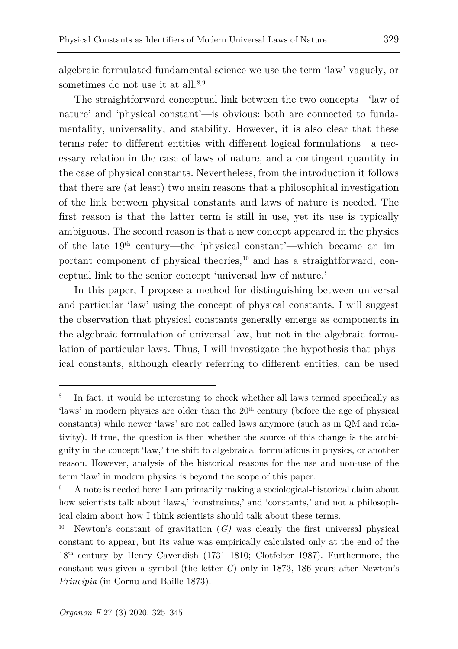algebraic-formulated fundamental science we use the term 'law' vaguely, or sometimes do not use it at all. $8,9$  $8,9$  $8,9$ 

The straightforward conceptual link between the two concepts—'law of nature' and 'physical constant'—is obvious: both are connected to fundamentality, universality, and stability. However, it is also clear that these terms refer to different entities with different logical formulations—a necessary relation in the case of laws of nature, and a contingent quantity in the case of physical constants. Nevertheless, from the introduction it follows that there are (at least) two main reasons that a philosophical investigation of the link between physical constants and laws of nature is needed. The first reason is that the latter term is still in use, yet its use is typically ambiguous. The second reason is that a new concept appeared in the physics of the late  $19<sup>th</sup>$  century—the 'physical constant'—which became an important component of physical theories, $10$  and has a straightforward, conceptual link to the senior concept 'universal law of nature.'

In this paper, I propose a method for distinguishing between universal and particular 'law' using the concept of physical constants. I will suggest the observation that physical constants generally emerge as components in the algebraic formulation of universal law, but not in the algebraic formulation of particular laws. Thus, I will investigate the hypothesis that physical constants, although clearly referring to different entities, can be used

<span id="page-4-0"></span>In fact, it would be interesting to check whether all laws termed specifically as 'laws' in modern physics are older than the  $20<sup>th</sup>$  century (before the age of physical constants) while newer 'laws' are not called laws anymore (such as in QM and relativity). If true, the question is then whether the source of this change is the ambiguity in the concept 'law,' the shift to algebraical formulations in physics, or another reason. However, analysis of the historical reasons for the use and non-use of the term 'law' in modern physics is beyond the scope of this paper.

<span id="page-4-1"></span><sup>9</sup> A note is needed here: I am primarily making a sociological-historical claim about how scientists talk about 'laws,' 'constraints,' and 'constants,' and not a philosophical claim about how I think scientists should talk about these terms.

<span id="page-4-2"></span>Newton's constant of gravitation  $(G)$  was clearly the first universal physical constant to appear, but its value was empirically calculated only at the end of the 18th century by Henry Cavendish (1731–1810; Clotfelter 1987). Furthermore, the constant was given a symbol (the letter *G*) only in 1873, 186 years after Newton's *Principia* (in Cornu and Baille 1873).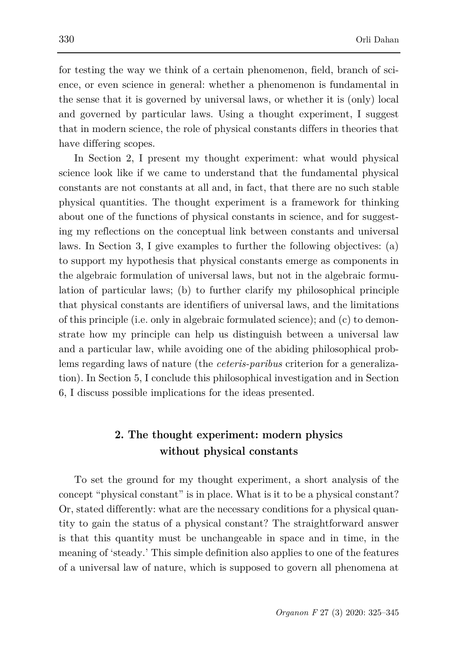for testing the way we think of a certain phenomenon, field, branch of science, or even science in general: whether a phenomenon is fundamental in the sense that it is governed by universal laws, or whether it is (only) local and governed by particular laws. Using a thought experiment, I suggest that in modern science, the role of physical constants differs in theories that have differing scopes.

In Section 2, I present my thought experiment: what would physical science look like if we came to understand that the fundamental physical constants are not constants at all and, in fact, that there are no such stable physical quantities. The thought experiment is a framework for thinking about one of the functions of physical constants in science, and for suggesting my reflections on the conceptual link between constants and universal laws. In Section 3, I give examples to further the following objectives: (a) to support my hypothesis that physical constants emerge as components in the algebraic formulation of universal laws, but not in the algebraic formulation of particular laws; (b) to further clarify my philosophical principle that physical constants are identifiers of universal laws, and the limitations of this principle (i.e. only in algebraic formulated science); and (c) to demonstrate how my principle can help us distinguish between a universal law and a particular law, while avoiding one of the abiding philosophical problems regarding laws of nature (the *ceteris-paribus* criterion for a generalization). In Section 5, I conclude this philosophical investigation and in Section 6, I discuss possible implications for the ideas presented.

# **2. The thought experiment: modern physics without physical constants**

To set the ground for my thought experiment, a short analysis of the concept "physical constant" is in place. What is it to be a physical constant? Or, stated differently: what are the necessary conditions for a physical quantity to gain the status of a physical constant? The straightforward answer is that this quantity must be unchangeable in space and in time, in the meaning of 'steady.' This simple definition also applies to one of the features of a universal law of nature, which is supposed to govern all phenomena at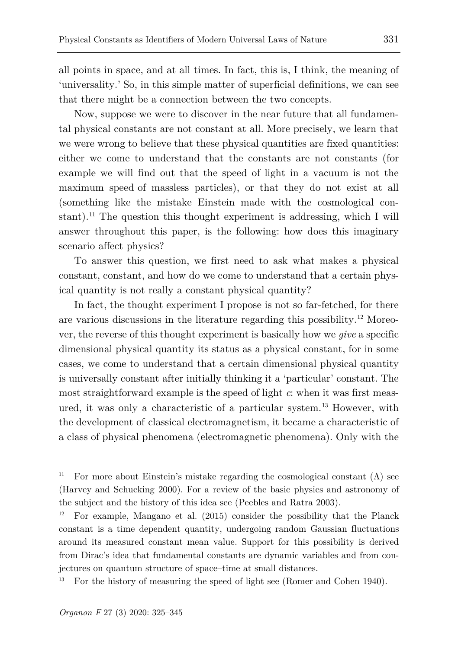all points in space, and at all times. In fact, this is, I think, the meaning of 'universality.' So, in this simple matter of superficial definitions, we can see that there might be a connection between the two concepts.

Now, suppose we were to discover in the near future that all fundamental physical constants are not constant at all. More precisely, we learn that we were wrong to believe that these physical quantities are fixed quantities: either we come to understand that the constants are not constants (for example we will find out that the speed of light in a vacuum is not the maximum speed of massless particles), or that they do not exist at all (something like the mistake Einstein made with the cosmological con-stant).<sup>[11](#page-6-0)</sup> The question this thought experiment is addressing, which I will answer throughout this paper, is the following: how does this imaginary scenario affect physics?

To answer this question, we first need to ask what makes a physical constant, constant, and how do we come to understand that a certain physical quantity is not really a constant physical quantity?

In fact, the thought experiment I propose is not so far-fetched, for there are various discussions in the literature regarding this possibility.[12](#page-6-1) Moreover, the reverse of this thought experiment is basically how we *give* a specific dimensional physical quantity its status as a physical constant, for in some cases, we come to understand that a certain dimensional physical quantity is universally constant after initially thinking it a 'particular' constant. The most straightforward example is the speed of light *c*: when it was first meas-ured, it was only a characteristic of a particular system.<sup>[13](#page-6-2)</sup> However, with the development of classical electromagnetism, it became a characteristic of a class of physical phenomena (electromagnetic phenomena). Only with the

<span id="page-6-0"></span><sup>&</sup>lt;sup>11</sup> For more about Einstein's mistake regarding the cosmological constant  $(Λ)$  see (Harvey and Schucking 2000). For a review of the basic physics and astronomy of the subject and the history of this idea see (Peebles and Ratra 2003).

<span id="page-6-1"></span><sup>&</sup>lt;sup>12</sup> For example, Mangano et al.  $(2015)$  consider the possibility that the Planck constant is a time dependent quantity, undergoing random Gaussian fluctuations around its measured constant mean value. Support for this possibility is derived from Dirac's idea that fundamental constants are dynamic variables and from conjectures on quantum structure of space–time at small distances.

<span id="page-6-2"></span><sup>13</sup> For the history of measuring the speed of light see (Romer and Cohen 1940).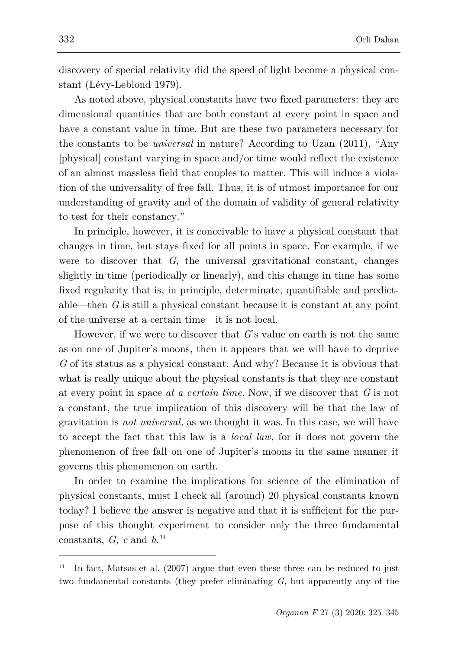discovery of special relativity did the speed of light become a physical constant (Lévy-Leblond 1979).

As noted above, physical constants have two fixed parameters: they are dimensional quantities that are both constant at every point in space and have a constant value in time. But are these two parameters necessary for the constants to be *universal* in nature? According to Uzan (2011), "Any [physical] constant varying in space and/or time would reflect the existence of an almost massless field that couples to matter. This will induce a violation of the universality of free fall. Thus, it is of utmost importance for our understanding of gravity and of the domain of validity of general relativity to test for their constancy."

In principle, however, it is conceivable to have a physical constant that changes in time, but stays fixed for all points in space. For example, if we were to discover that *G*, the universal gravitational constant, changes slightly in time (periodically or linearly), and this change in time has some fixed regularity that is, in principle, determinate, quantifiable and predictable—then *G* is still a physical constant because it is constant at any point of the universe at a certain time—it is not local.

However, if we were to discover that *G*'s value on earth is not the same as on one of Jupiter's moons, then it appears that we will have to deprive *G* of its status as a physical constant. And why? Because it is obvious that what is really unique about the physical constants is that they are constant at every point in space *at a certain time.* Now, if we discover that *G* is not a constant, the true implication of this discovery will be that the law of gravitation is *not universal,* as we thought it was. In this case, we will have to accept the fact that this law is a *local law,* for it does not govern the phenomenon of free fall on one of Jupiter's moons in the same manner it governs this phenomenon on earth.

In order to examine the implications for science of the elimination of physical constants, must I check all (around) 20 physical constants known today? I believe the answer is negative and that it is sufficient for the purpose of this thought experiment to consider only the three fundamental constants, *G, c* and *h*. [14](#page-7-0)

<span id="page-7-0"></span><sup>&</sup>lt;sup>14</sup> In fact, Matsas et al. (2007) argue that even these three can be reduced to just two fundamental constants (they prefer eliminating *G*, but apparently any of the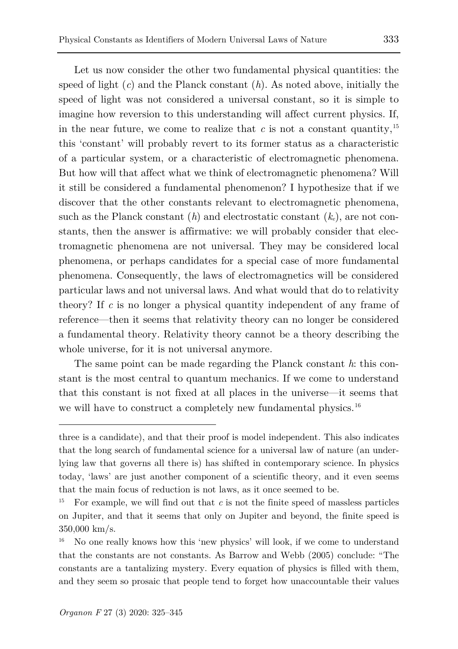Let us now consider the other two fundamental physical quantities: the speed of light (*c*) and the Planck constant (*h*). As noted above, initially the speed of light was not considered a universal constant, so it is simple to imagine how reversion to this understanding will affect current physics. If, in the near future, we come to realize that  $c$  is not a constant quantity,<sup>[15](#page-8-0)</sup> this 'constant' will probably revert to its former status as a characteristic of a particular system, or a characteristic of electromagnetic phenomena. But how will that affect what we think of electromagnetic phenomena? Will it still be considered a fundamental phenomenon? I hypothesize that if we discover that the other constants relevant to electromagnetic phenomena, such as the Planck constant  $(h)$  and electrostatic constant  $(k_e)$ , are not constants, then the answer is affirmative: we will probably consider that electromagnetic phenomena are not universal. They may be considered local phenomena, or perhaps candidates for a special case of more fundamental phenomena. Consequently, the laws of electromagnetics will be considered particular laws and not universal laws. And what would that do to relativity theory? If *c* is no longer a physical quantity independent of any frame of reference—then it seems that relativity theory can no longer be considered a fundamental theory. Relativity theory cannot be a theory describing the whole universe, for it is not universal anymore.

The same point can be made regarding the Planck constant *h*: this constant is the most central to quantum mechanics. If we come to understand that this constant is not fixed at all places in the universe—it seems that we will have to construct a completely new fundamental physics.<sup>[16](#page-8-1)</sup>

three is a candidate), and that their proof is model independent. This also indicates that the long search of fundamental science for a universal law of nature (an underlying law that governs all there is) has shifted in contemporary science. In physics today, 'laws' are just another component of a scientific theory, and it even seems that the main focus of reduction is not laws, as it once seemed to be.

<span id="page-8-0"></span><sup>15</sup> For example, we will find out that *c* is not the finite speed of massless particles on Jupiter, and that it seems that only on Jupiter and beyond, the finite speed is 350,000 km/s.

<span id="page-8-1"></span><sup>&</sup>lt;sup>16</sup> No one really knows how this 'new physics' will look, if we come to understand that the constants are not constants. As Barrow and Webb (2005) conclude: "The constants are a tantalizing mystery. Every equation of physics is filled with them, and they seem so prosaic that people tend to forget how unaccountable their values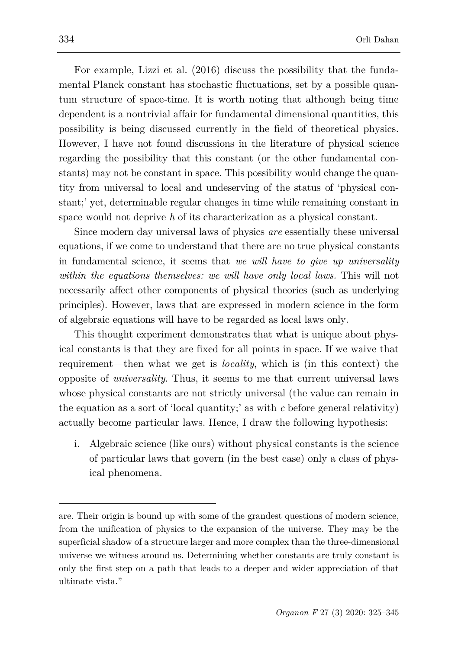For example, Lizzi et al. (2016) discuss the possibility that the fundamental Planck constant has stochastic fluctuations, set by a possible quantum structure of space-time. It is worth noting that although being time dependent is a nontrivial affair for fundamental dimensional quantities, this possibility is being discussed currently in the field of theoretical physics. However, I have not found discussions in the literature of physical science regarding the possibility that this constant (or the other fundamental constants) may not be constant in space. This possibility would change the quantity from universal to local and undeserving of the status of 'physical constant;' yet, determinable regular changes in time while remaining constant in space would not deprive *h* of its characterization as a physical constant.

Since modern day universal laws of physics *are* essentially these universal equations, if we come to understand that there are no true physical constants in fundamental science, it seems that *we will have to give up universality within the equations themselves: we will have only local laws.* This will not necessarily affect other components of physical theories (such as underlying principles). However, laws that are expressed in modern science in the form of algebraic equations will have to be regarded as local laws only.

This thought experiment demonstrates that what is unique about physical constants is that they are fixed for all points in space. If we waive that requirement—then what we get is *locality*, which is (in this context) the opposite of *universality*. Thus, it seems to me that current universal laws whose physical constants are not strictly universal (the value can remain in the equation as a sort of 'local quantity;' as with *c* before general relativity) actually become particular laws. Hence, I draw the following hypothesis:

i. Algebraic science (like ours) without physical constants is the science of particular laws that govern (in the best case) only a class of physical phenomena.

are. Their origin is bound up with some of the grandest questions of modern science, from the unification of physics to the expansion of the universe. They may be the superficial shadow of a structure larger and more complex than the three-dimensional universe we witness around us. Determining whether constants are truly constant is only the first step on a path that leads to a deeper and wider appreciation of that ultimate vista."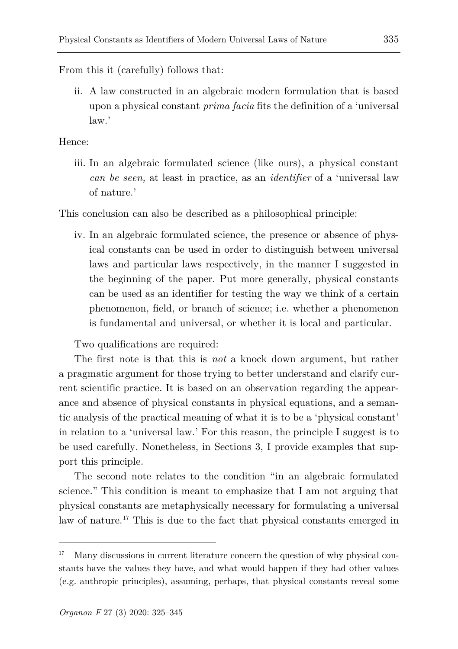From this it (carefully) follows that:

ii. A law constructed in an algebraic modern formulation that is based upon a physical constant *prima facia* fits the definition of a 'universal law.'

Hence:

iii. In an algebraic formulated science (like ours), a physical constant *can be seen,* at least in practice, as an *identifier* of a 'universal law of nature.'

This conclusion can also be described as a philosophical principle:

iv. In an algebraic formulated science, the presence or absence of physical constants can be used in order to distinguish between universal laws and particular laws respectively, in the manner I suggested in the beginning of the paper. Put more generally, physical constants can be used as an identifier for testing the way we think of a certain phenomenon, field, or branch of science; i.e. whether a phenomenon is fundamental and universal, or whether it is local and particular.

Two qualifications are required:

The first note is that this is *not* a knock down argument, but rather a pragmatic argument for those trying to better understand and clarify current scientific practice. It is based on an observation regarding the appearance and absence of physical constants in physical equations, and a semantic analysis of the practical meaning of what it is to be a 'physical constant' in relation to a 'universal law.' For this reason, the principle I suggest is to be used carefully. Nonetheless, in Sections 3, I provide examples that support this principle.

The second note relates to the condition "in an algebraic formulated science." This condition is meant to emphasize that I am not arguing that physical constants are metaphysically necessary for formulating a universal law of nature.[17](#page-10-0) This is due to the fact that physical constants emerged in

<span id="page-10-0"></span>Many discussions in current literature concern the question of why physical constants have the values they have, and what would happen if they had other values (e.g. anthropic principles), assuming, perhaps, that physical constants reveal some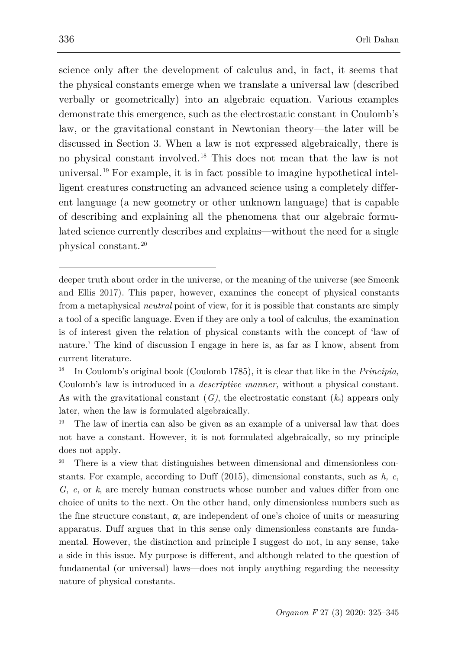science only after the development of calculus and, in fact, it seems that the physical constants emerge when we translate a universal law (described verbally or geometrically) into an algebraic equation. Various examples demonstrate this emergence, such as the electrostatic constant in Coulomb's law, or the gravitational constant in Newtonian theory—the later will be discussed in Section 3. When a law is not expressed algebraically, there is no physical constant involved.[18](#page-11-0) This does not mean that the law is not universal.[19](#page-11-1) For example, it is in fact possible to imagine hypothetical intelligent creatures constructing an advanced science using a completely different language (a new geometry or other unknown language) that is capable of describing and explaining all the phenomena that our algebraic formulated science currently describes and explains—without the need for a single physical constant.[20](#page-11-2)

<span id="page-11-2"></span>There is a view that distinguishes between dimensional and dimensionless constants. For example, according to Duff (2015), dimensional constants, such as *h, c, G, e,* or *k*, are merely human constructs whose number and values differ from one choice of units to the next. On the other hand, only dimensionless numbers such as the fine structure constant, *α*, are independent of one's choice of units or measuring apparatus. Duff argues that in this sense only dimensionless constants are fundamental. However, the distinction and principle I suggest do not, in any sense, take a side in this issue. My purpose is different, and although related to the question of fundamental (or universal) laws—does not imply anything regarding the necessity nature of physical constants.

deeper truth about order in the universe, or the meaning of the universe (see Smeenk and Ellis 2017). This paper, however, examines the concept of physical constants from a metaphysical *neutral* point of view, for it is possible that constants are simply a tool of a specific language. Even if they are only a tool of calculus, the examination is of interest given the relation of physical constants with the concept of 'law of nature.' The kind of discussion I engage in here is, as far as I know, absent from current literature.

<span id="page-11-0"></span><sup>18</sup> In Coulomb's original book (Coulomb 1785), it is clear that like in the *Principia,* Coulomb's law is introduced in a *descriptive manner,* without a physical constant. As with the gravitational constant (*G)*, the electrostatic constant (*ke*) appears only later, when the law is formulated algebraically.

<span id="page-11-1"></span><sup>19</sup> The law of inertia can also be given as an example of a universal law that does not have a constant. However, it is not formulated algebraically, so my principle does not apply.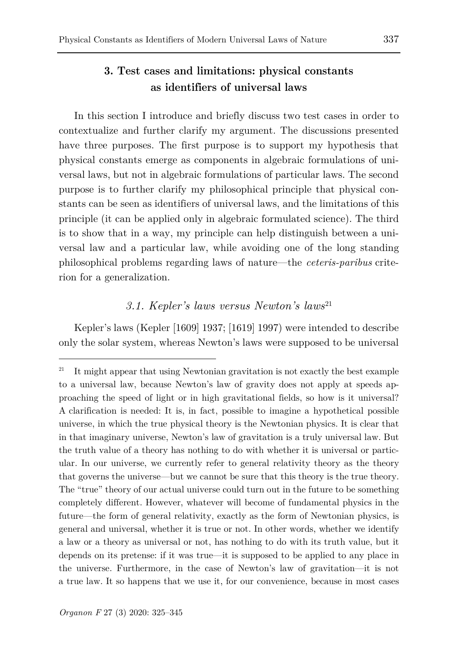## **3. Test cases and limitations: physical constants as identifiers of universal laws**

In this section I introduce and briefly discuss two test cases in order to contextualize and further clarify my argument. The discussions presented have three purposes. The first purpose is to support my hypothesis that physical constants emerge as components in algebraic formulations of universal laws, but not in algebraic formulations of particular laws. The second purpose is to further clarify my philosophical principle that physical constants can be seen as identifiers of universal laws, and the limitations of this principle (it can be applied only in algebraic formulated science). The third is to show that in a way, my principle can help distinguish between a universal law and a particular law, while avoiding one of the long standing philosophical problems regarding laws of nature—the *ceteris-paribus* criterion for a generalization.

### *3.1. Kepler's laws versus Newton's laws*[21](#page-12-0)

Kepler's laws (Kepler [1609] 1937; [1619] 1997) were intended to describe only the solar system, whereas Newton's laws were supposed to be universal

ł

<span id="page-12-0"></span><sup>&</sup>lt;sup>21</sup> It might appear that using Newtonian gravitation is not exactly the best example to a universal law, because Newton's law of gravity does not apply at speeds approaching the speed of light or in high gravitational fields, so how is it universal? A clarification is needed: It is, in fact, possible to imagine a hypothetical possible universe, in which the true physical theory is the Newtonian physics. It is clear that in that imaginary universe, Newton's law of gravitation is a truly universal law. But the truth value of a theory has nothing to do with whether it is universal or particular. In our universe, we currently refer to general relativity theory as the theory that governs the universe—but we cannot be sure that this theory is the true theory. The "true" theory of our actual universe could turn out in the future to be something completely different. However, whatever will become of fundamental physics in the future—the form of general relativity, exactly as the form of Newtonian physics, is general and universal, whether it is true or not. In other words, whether we identify a law or a theory as universal or not, has nothing to do with its truth value, but it depends on its pretense: if it was true—it is supposed to be applied to any place in the universe. Furthermore, in the case of Newton's law of gravitation—it is not a true law. It so happens that we use it, for our convenience, because in most cases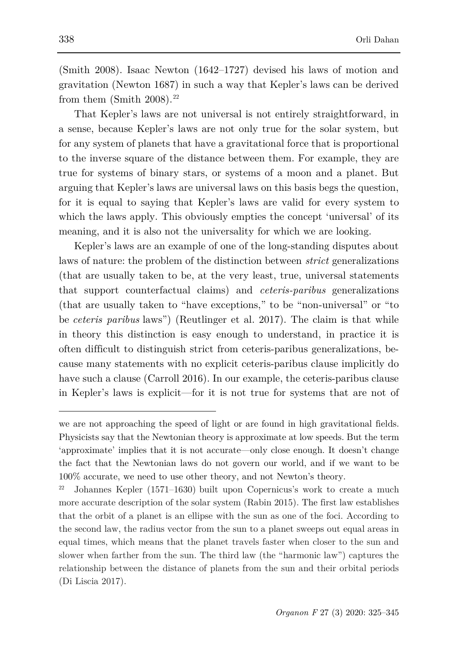(Smith 2008). Isaac Newton (1642–1727) devised his laws of motion and gravitation (Newton 1687) in such a way that Kepler's laws can be derived from them (Smith  $2008$ ).<sup>[22](#page-13-0)</sup>

That Kepler's laws are not universal is not entirely straightforward, in a sense, because Kepler's laws are not only true for the solar system, but for any system of planets that have a gravitational force that is proportional to the inverse square of the distance between them. For example, they are true for systems of binary stars, or systems of a moon and a planet. But arguing that Kepler's laws are universal laws on this basis begs the question, for it is equal to saying that Kepler's laws are valid for every system to which the laws apply. This obviously empties the concept 'universal' of its meaning, and it is also not the universality for which we are looking.

Kepler's laws are an example of one of the long-standing disputes about laws of nature: the problem of the distinction between *strict* generalizations (that are usually taken to be, at the very least, true, universal statements that support counterfactual claims) and *ceteris-paribus* generalizations (that are usually taken to "have exceptions," to be "non-universal" or "to be *ceteris paribus* laws") (Reutlinger et al. 2017). The claim is that while in theory this distinction is easy enough to understand, in practice it is often difficult to distinguish strict from ceteris-paribus generalizations, because many statements with no explicit ceteris-paribus clause implicitly do have such a clause (Carroll 2016). In our example, the ceteris-paribus clause in Kepler's laws is explicit—for it is not true for systems that are not of

we are not approaching the speed of light or are found in high gravitational fields. Physicists say that the Newtonian theory is approximate at low speeds. But the term 'approximate' implies that it is not accurate—only close enough. It doesn't change the fact that the Newtonian laws do not govern our world, and if we want to be 100% accurate, we need to use other theory, and not Newton's theory.

<span id="page-13-0"></span><sup>22</sup> Johannes Kepler (1571–1630) built upon Copernicus's work to create a much more accurate description of the solar system (Rabin 2015). The first law establishes that the orbit of a planet is an ellipse with the sun as one of the foci. According to the second law, the radius vector from the sun to a planet sweeps out equal areas in equal times, which means that the planet travels faster when closer to the sun and slower when farther from the sun. The third law (the "harmonic law") captures the relationship between the distance of planets from the sun and their orbital periods (Di Liscia 2017).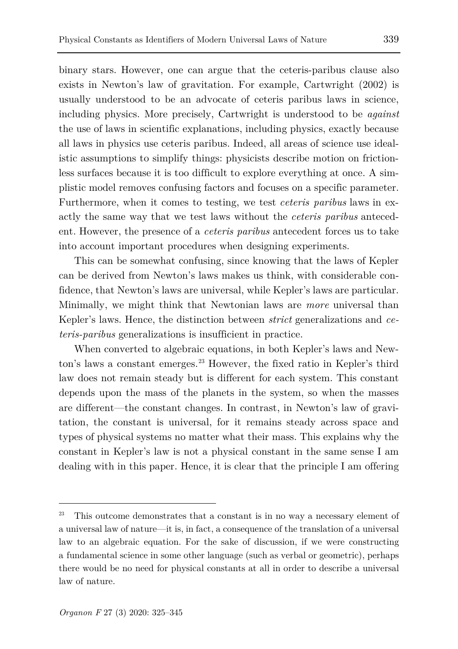binary stars. However, one can argue that the ceteris-paribus clause also exists in Newton's law of gravitation. For example, Cartwright (2002) is usually understood to be an advocate of ceteris paribus laws in science, including physics. More precisely, Cartwright is understood to be *against* the use of laws in scientific explanations, including physics, exactly because all laws in physics use ceteris paribus. Indeed, all areas of science use idealistic assumptions to simplify things: physicists describe motion on frictionless surfaces because it is too difficult to explore everything at once. A simplistic model removes confusing factors and focuses on a specific parameter. Furthermore, when it comes to testing, we test *ceteris paribus* laws in exactly the same way that we test laws without the *ceteris paribus* antecedent. However, the presence of a *ceteris paribus* antecedent forces us to take into account important procedures when designing experiments.

This can be somewhat confusing, since knowing that the laws of Kepler can be derived from Newton's laws makes us think, with considerable confidence, that Newton's laws are universal, while Kepler's laws are particular. Minimally, we might think that Newtonian laws are *more* universal than Kepler's laws. Hence, the distinction between *strict* generalizations and *ceteris-paribus* generalizations is insufficient in practice.

When converted to algebraic equations, in both Kepler's laws and New-ton's laws a constant emerges.<sup>[23](#page-14-0)</sup> However, the fixed ratio in Kepler's third law does not remain steady but is different for each system. This constant depends upon the mass of the planets in the system, so when the masses are different—the constant changes. In contrast, in Newton's law of gravitation, the constant is universal, for it remains steady across space and types of physical systems no matter what their mass. This explains why the constant in Kepler's law is not a physical constant in the same sense I am dealing with in this paper. Hence, it is clear that the principle I am offering

<span id="page-14-0"></span>This outcome demonstrates that a constant is in no way a necessary element of a universal law of nature—it is, in fact, a consequence of the translation of a universal law to an algebraic equation. For the sake of discussion, if we were constructing a fundamental science in some other language (such as verbal or geometric), perhaps there would be no need for physical constants at all in order to describe a universal law of nature.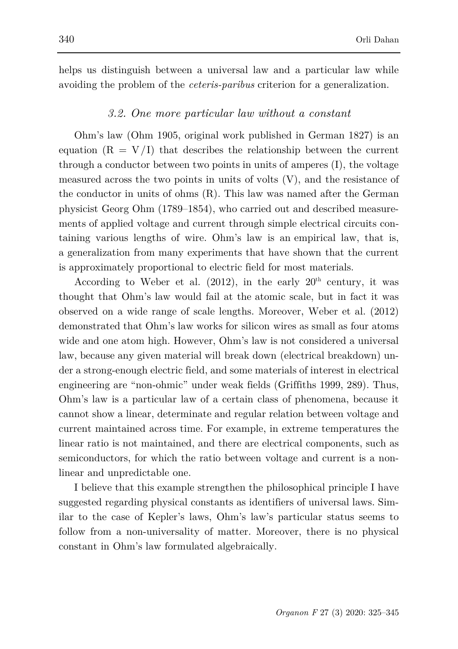helps us distinguish between a universal law and a particular law while avoiding the problem of the *ceteris-paribus* criterion for a generalization.

#### *3.2. One more particular law without a constant*

Ohm's law (Ohm 1905, original work published in German 1827) is an equation  $(R = V/I)$  that describes the relationship between the current through a conductor between two points in units of amperes (I), the voltage measured across the two points in units of volts (V), and the resistance of the conductor in units of ohms (R). This law was named after the German physicist Georg Ohm (1789–1854), who carried out and described measurements of applied voltage and current through simple electrical circuits containing various lengths of wire. Ohm's law is an empirical law, that is, a generalization from many experiments that have shown that the current is approximately proportional to electric field for most materials.

According to Weber et al.  $(2012)$ , in the early  $20<sup>th</sup>$  century, it was thought that Ohm's law would fail at the atomic scale, but in fact it was observed on a wide range of scale lengths. Moreover, Weber et al. (2012) demonstrated that Ohm's law works for silicon wires as small as four atoms wide and one atom high. However, Ohm's law is not considered a universal law, because any given material will break down (electrical breakdown) under a strong-enough electric field, and some materials of interest in electrical engineering are "non-ohmic" under weak fields (Griffiths 1999, 289). Thus, Ohm's law is a particular law of a certain class of phenomena, because it cannot show a linear, determinate and regular relation between voltage and current maintained across time. For example, in extreme temperatures the linear ratio is not maintained, and there are electrical components, such as semiconductors, for which the ratio between voltage and current is a nonlinear and unpredictable one.

I believe that this example strengthen the philosophical principle I have suggested regarding physical constants as identifiers of universal laws. Similar to the case of Kepler's laws, Ohm's law's particular status seems to follow from a non-universality of matter. Moreover, there is no physical constant in Ohm's law formulated algebraically.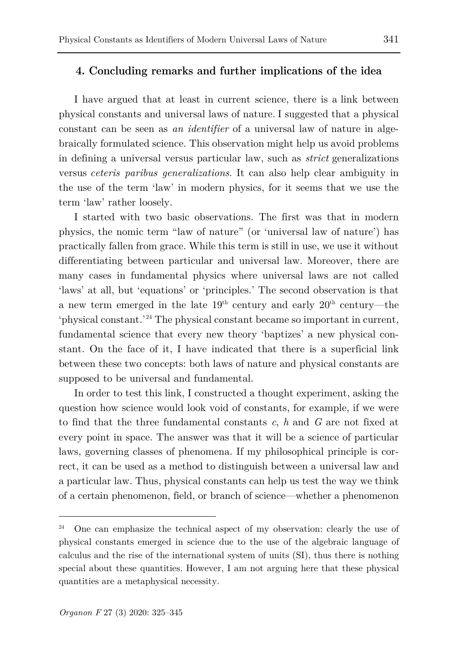#### **4. Concluding remarks and further implications of the idea**

I have argued that at least in current science, there is a link between physical constants and universal laws of nature. I suggested that a physical constant can be seen as *an identifier* of a universal law of nature in algebraically formulated science. This observation might help us avoid problems in defining a universal versus particular law, such as *strict* generalizations versus *ceteris paribus generalizations*. It can also help clear ambiguity in the use of the term 'law' in modern physics, for it seems that we use the term 'law' rather loosely.

I started with two basic observations. The first was that in modern physics, the nomic term "law of nature" (or 'universal law of nature') has practically fallen from grace. While this term is still in use, we use it without differentiating between particular and universal law. Moreover, there are many cases in fundamental physics where universal laws are not called 'laws' at all, but 'equations' or 'principles.' The second observation is that a new term emerged in the late  $19<sup>th</sup>$  century and early  $20<sup>th</sup>$  century—the 'physical constant.' [24](#page-16-0) The physical constant became so important in current, fundamental science that every new theory 'baptizes' a new physical constant. On the face of it, I have indicated that there is a superficial link between these two concepts: both laws of nature and physical constants are supposed to be universal and fundamental.

In order to test this link, I constructed a thought experiment, asking the question how science would look void of constants, for example, if we were to find that the three fundamental constants *c*, *h* and *G* are not fixed at every point in space. The answer was that it will be a science of particular laws, governing classes of phenomena. If my philosophical principle is correct, it can be used as a method to distinguish between a universal law and a particular law. Thus, physical constants can help us test the way we think of a certain phenomenon, field, or branch of science—whether a phenomenon

<span id="page-16-0"></span><sup>&</sup>lt;sup>24</sup> One can emphasize the technical aspect of my observation: clearly the use of physical constants emerged in science due to the use of the algebraic language of calculus and the rise of the international system of units (SI), thus there is nothing special about these quantities. However, I am not arguing here that these physical quantities are a metaphysical necessity.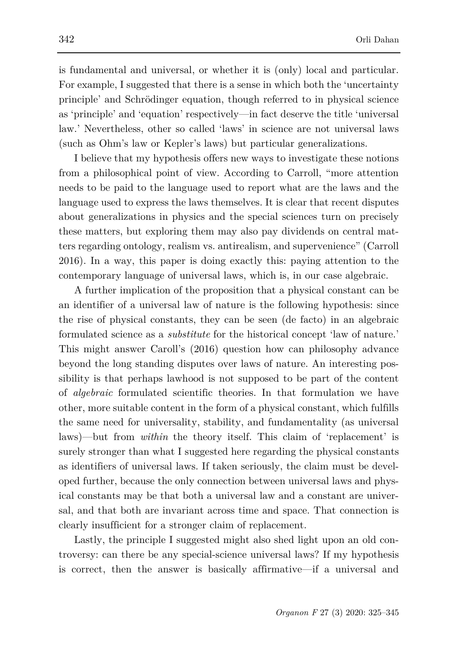is fundamental and universal, or whether it is (only) local and particular. For example, I suggested that there is a sense in which both the 'uncertainty principle' and Schrödinger equation, though referred to in physical science as 'principle' and 'equation' respectively—in fact deserve the title 'universal law.' Nevertheless, other so called 'laws' in science are not universal laws (such as Ohm's law or Kepler's laws) but particular generalizations.

I believe that my hypothesis offers new ways to investigate these notions from a philosophical point of view. According to Carroll, "more attention needs to be paid to the language used to report what are the laws and the language used to express the laws themselves. It is clear that recent disputes about generalizations in physics and the special sciences turn on precisely these matters, but exploring them may also pay dividends on central matters regarding ontology, realism vs. antirealism, and supervenience" (Carroll 2016). In a way, this paper is doing exactly this: paying attention to the contemporary language of universal laws, which is, in our case algebraic.

A further implication of the proposition that a physical constant can be an identifier of a universal law of nature is the following hypothesis: since the rise of physical constants, they can be seen (de facto) in an algebraic formulated science as a *substitute* for the historical concept 'law of nature.' This might answer Caroll's (2016) question how can philosophy advance beyond the long standing disputes over laws of nature. An interesting possibility is that perhaps lawhood is not supposed to be part of the content of *algebraic* formulated scientific theories. In that formulation we have other, more suitable content in the form of a physical constant, which fulfills the same need for universality, stability, and fundamentality (as universal laws)—but from *within* the theory itself. This claim of 'replacement' is surely stronger than what I suggested here regarding the physical constants as identifiers of universal laws. If taken seriously, the claim must be developed further, because the only connection between universal laws and physical constants may be that both a universal law and a constant are universal, and that both are invariant across time and space. That connection is clearly insufficient for a stronger claim of replacement.

Lastly, the principle I suggested might also shed light upon an old controversy: can there be any special-science universal laws? If my hypothesis is correct, then the answer is basically affirmative—if a universal and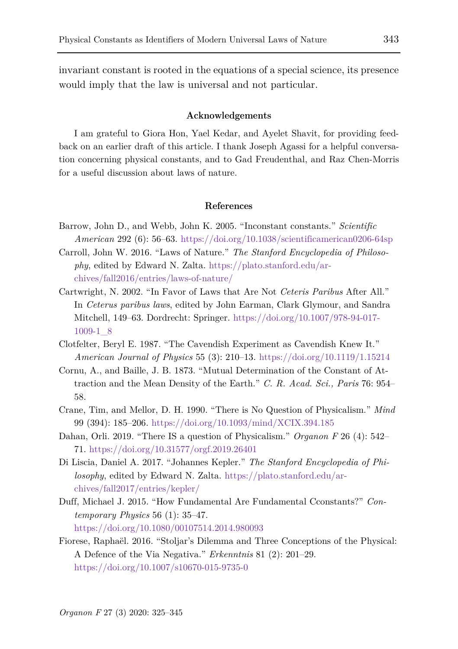invariant constant is rooted in the equations of a special science, its presence would imply that the law is universal and not particular.

#### **Acknowledgements**

I am grateful to Giora Hon, Yael Kedar, and Ayelet Shavit, for providing feedback on an earlier draft of this article. I thank Joseph Agassi for a helpful conversation concerning physical constants, and to Gad Freudenthal, and Raz Chen-Morris for a useful discussion about laws of nature.

#### **References**

- Barrow, John D., and Webb, John K. 2005. "Inconstant constants." *Scientific American* 292 (6): 56–63. <https://doi.org/10.1038/scientificamerican0206-64sp>
- Carroll, John W. 2016. "Laws of Nature." *The Stanford Encyclopedia of Philosophy*, edited by Edward N. Zalta. [https://plato.stanford.edu/ar](https://plato.stanford.edu/archives/fall2016/entries/laws-of-nature/)[chives/fall2016/entries/laws-of-nature/](https://plato.stanford.edu/archives/fall2016/entries/laws-of-nature/)
- Cartwright, N. 2002. "In Favor of Laws that Are Not *Ceteris Paribus* After All." In *Ceterus paribus laws*, edited by John Earman, Clark Glymour, and Sandra Mitchell, 149–63. Dordrecht: Springer. [https://doi.org/10.1007/978-94-017-](https://doi.org/10.1007/978-94-017-1009-1_8) [1009-1\\_8](https://doi.org/10.1007/978-94-017-1009-1_8)
- Clotfelter, Beryl E. 1987. "The Cavendish Experiment as Cavendish Knew It." *American Journal of Physics* 55 (3): 210–13. <https://doi.org/10.1119/1.15214>
- Cornu, A., and Baille, J. B. 1873. "Mutual Determination of the Constant of Attraction and the Mean Density of the Earth." *C. R. Acad. Sci., Paris* 76: 954– 58.
- Crane, Tim, and Mellor, D. H. 1990. "There is No Question of Physicalism." *Mind* 99 (394): 185–206. <https://doi.org/10.1093/mind/XCIX.394.185>
- Dahan, Orli. 2019. "There IS a question of Physicalism." *Organon F* 26 (4): 542– 71. <https://doi.org/10.31577/orgf.2019.26401>
- Di Liscia, Daniel A. 2017. "Johannes Kepler." *The Stanford Encyclopedia of Philosophy*, edited by Edward N. Zalta. [https://plato.stanford.edu/ar](https://plato.stanford.edu/archives/fall2017/entries/kepler/)[chives/fall2017/entries/kepler/](https://plato.stanford.edu/archives/fall2017/entries/kepler/)
- Duff, Michael J. 2015. "How Fundamental Are Fundamental Cconstants?" *Contemporary Physics* 56 (1): 35–47. <https://doi.org/10.1080/00107514.2014.980093>
- Fiorese, Raphaël. 2016. "Stoljar's Dilemma and Three Conceptions of the Physical: A Defence of the Via Negativa." *Erkenntnis* 81 (2): 201–29. <https://doi.org/10.1007/s10670-015-9735-0>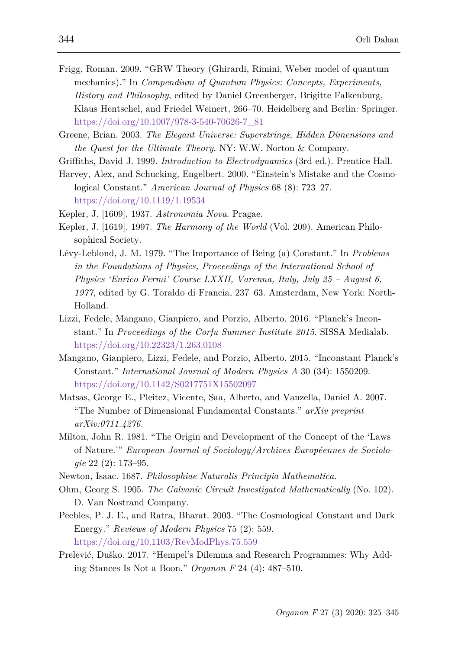- Frigg, Roman. 2009. "GRW Theory (Ghirardi, Rimini, Weber model of quantum mechanics)." In *Compendium of Quantum Physics: Concepts, Experiments, History and Philosophy*, edited by Daniel Greenberger, Brigitte Falkenburg, Klaus Hentschel, and Friedel Weinert, 266–70. Heidelberg and Berlin: Springer. [https://doi.org/10.1007/978-3-540-70626-7\\_81](https://doi.org/10.1007/978-3-540-70626-7_81)
- Greene, Brian. 2003. *The Elegant Universe: Superstrings, Hidden Dimensions and the Quest for the Ultimate Theory*. NY: W.W. Norton & Company.
- Griffiths, David J. 1999. *Introduction to Electrodynamics* (3rd ed.). Prentice Hall.
- Harvey, Alex, and Schucking, Engelbert. 2000. "Einstein's Mistake and the Cosmological Constant." *American Journal of Physics* 68 (8): 723–27. <https://doi.org/10.1119/1.19534>
- Kepler, J. [1609]. 1937. *Astronomia Nova*. Pragae.
- Kepler, J. [1619]. 1997. *The Harmony of the World* (Vol. 209). American Philosophical Society.
- Lévy-Leblond, J. M. 1979. "The Importance of Being (a) Constant." In *Problems in the Foundations of Physics, Proceedings of the International School of Physics 'Enrico Fermi' Course LXXII, Varenna, Italy, July 25 – August 6, 1977*, edited by G. Toraldo di Francia, 237–63. Amsterdam, New York: North-Holland.
- Lizzi, Fedele, Mangano, Gianpiero, and Porzio, Alberto. 2016. "Planck's Inconstant." In *Proceedings of the Corfu Summer Institute 2015*. SISSA Medialab. <https://doi.org/10.22323/1.263.0108>
- Mangano, Gianpiero, Lizzi, Fedele, and Porzio, Alberto. 2015. "Inconstant Planck's Constant." *International Journal of Modern Physics A* 30 (34): 1550209. <https://doi.org/10.1142/S0217751X15502097>
- Matsas, George E., Pleitez, Vicente, Saa, Alberto, and Vanzella, Daniel A. 2007. "The Number of Dimensional Fundamental Constants." *arXiv preprint arXiv:0711.4276.*
- Milton, John R. 1981. "The Origin and Development of the Concept of the 'Laws of Nature.'" *European Journal of Sociology/Archives Européennes de Sociologie* 22 (2): 173–95.
- Newton, Isaac. 1687. *Philosophiae Naturalis Principia Mathematica.*
- Ohm, Georg S. 1905. *The Galvanic Circuit Investigated Mathematically* (No. 102). D. Van Nostrand Company.
- Peebles, P. J. E., and Ratra, Bharat. 2003. "The Cosmological Constant and Dark Energy." *Reviews of Modern Physics* 75 (2): 559. <https://doi.org/10.1103/RevModPhys.75.559>
- Prelević, Duško. 2017. "Hempel's Dilemma and Research Programmes: Why Adding Stances Is Not a Boon." *Organon F* 24 (4): 487–510.